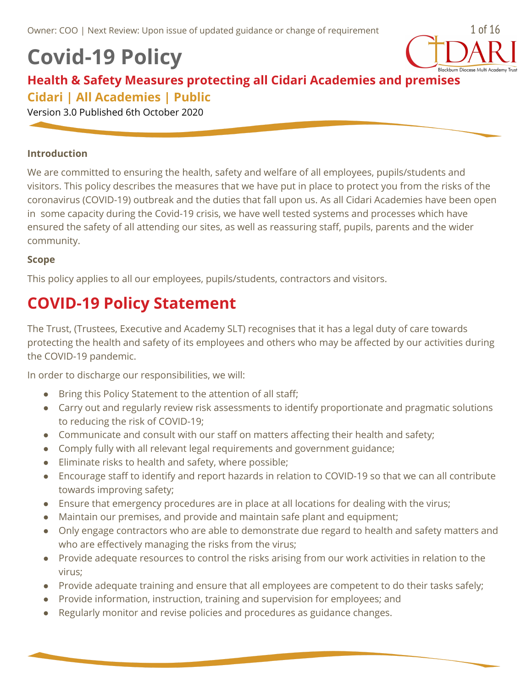# **Covid-19 Policy**



### **Health & Safety Measures protecting all Cidari Academies and premises Cidari | All Academies | Public**

Version 3.0 Published 6th October 2020

#### **Introduction**

We are committed to ensuring the health, safety and welfare of all employees, pupils/students and visitors. This policy describes the measures that we have put in place to protect you from the risks of the coronavirus (COVID-19) outbreak and the duties that fall upon us. As all Cidari Academies have been open in some capacity during the Covid-19 crisis, we have well tested systems and processes which have ensured the safety of all attending our sites, as well as reassuring staff, pupils, parents and the wider community.

#### **Scope**

This policy applies to all our employees, pupils/students, contractors and visitors.

## **COVID-19 Policy Statement**

The Trust, (Trustees, Executive and Academy SLT) recognises that it has a legal duty of care towards protecting the health and safety of its employees and others who may be affected by our activities during the COVID-19 pandemic.

In order to discharge our responsibilities, we will:

- Bring this Policy Statement to the attention of all staff;
- Carry out and regularly review risk assessments to identify proportionate and pragmatic solutions to reducing the risk of COVID-19;
- Communicate and consult with our staff on matters affecting their health and safety;
- Comply fully with all relevant legal requirements and government guidance;
- Eliminate risks to health and safety, where possible;
- Encourage staff to identify and report hazards in relation to COVID-19 so that we can all contribute towards improving safety;
- Ensure that emergency procedures are in place at all locations for dealing with the virus;
- Maintain our premises, and provide and maintain safe plant and equipment;
- Only engage contractors who are able to demonstrate due regard to health and safety matters and who are effectively managing the risks from the virus;
- Provide adequate resources to control the risks arising from our work activities in relation to the virus;
- Provide adequate training and ensure that all employees are competent to do their tasks safely;
- Provide information, instruction, training and supervision for employees; and
- Regularly monitor and revise policies and procedures as guidance changes.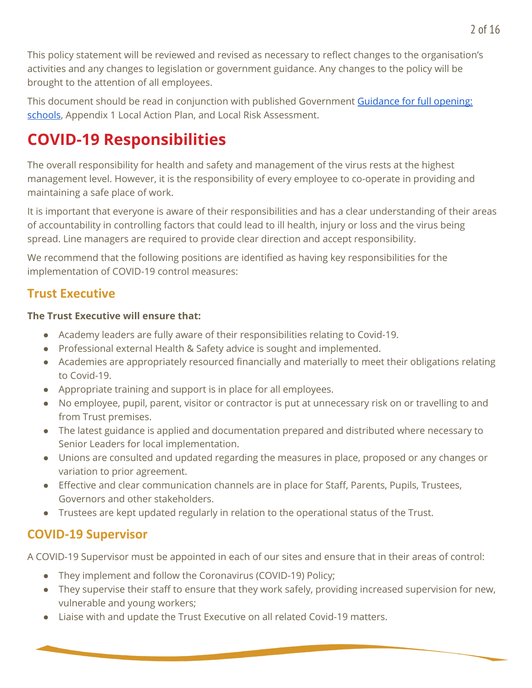This policy statement will be reviewed and revised as necessary to reflect changes to the organisation's activities and any changes to legislation or government guidance. Any changes to the policy will be brought to the attention of all employees.

This document should be read in conjunction with published Government [Guidance](https://www.gov.uk/government/publications/actions-for-schools-during-the-coronavirus-outbreak/guidance-for-full-opening-schools) for full opening: [schools](https://www.gov.uk/government/publications/actions-for-schools-during-the-coronavirus-outbreak/guidance-for-full-opening-schools), Appendix 1 Local Action Plan, and Local Risk Assessment.

## **COVID-19 Responsibilities**

The overall responsibility for health and safety and management of the virus rests at the highest management level. However, it is the responsibility of every employee to co-operate in providing and maintaining a safe place of work.

It is important that everyone is aware of their responsibilities and has a clear understanding of their areas of accountability in controlling factors that could lead to ill health, injury or loss and the virus being spread. Line managers are required to provide clear direction and accept responsibility.

We recommend that the following positions are identified as having key responsibilities for the implementation of COVID-19 control measures:

### **Trust Executive**

#### **The Trust Executive will ensure that:**

- Academy leaders are fully aware of their responsibilities relating to Covid-19.
- Professional external Health & Safety advice is sought and implemented.
- Academies are appropriately resourced financially and materially to meet their obligations relating to Covid-19.
- Appropriate training and support is in place for all employees.
- No employee, pupil, parent, visitor or contractor is put at unnecessary risk on or travelling to and from Trust premises.
- The latest guidance is applied and documentation prepared and distributed where necessary to Senior Leaders for local implementation.
- Unions are consulted and updated regarding the measures in place, proposed or any changes or variation to prior agreement.
- Effective and clear communication channels are in place for Staff, Parents, Pupils, Trustees, Governors and other stakeholders.
- Trustees are kept updated regularly in relation to the operational status of the Trust.

## **COVID-19 Supervisor**

A COVID-19 Supervisor must be appointed in each of our sites and ensure that in their areas of control:

- They implement and follow the Coronavirus (COVID-19) Policy;
- They supervise their staff to ensure that they work safely, providing increased supervision for new, vulnerable and young workers;
- Liaise with and update the Trust Executive on all related Covid-19 matters.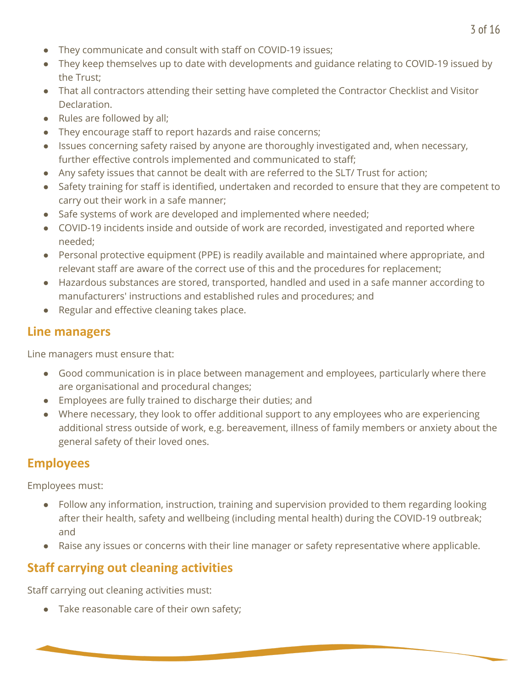- They communicate and consult with staff on COVID-19 issues;
- They keep themselves up to date with developments and guidance relating to COVID-19 issued by the Trust;
- That all contractors attending their setting have completed the Contractor Checklist and Visitor Declaration.
- Rules are followed by all;
- They encourage staff to report hazards and raise concerns;
- Issues concerning safety raised by anyone are thoroughly investigated and, when necessary, further effective controls implemented and communicated to staff;
- Any safety issues that cannot be dealt with are referred to the SLT/ Trust for action;
- Safety training for staff is identified, undertaken and recorded to ensure that they are competent to carry out their work in a safe manner;
- Safe systems of work are developed and implemented where needed;
- COVID-19 incidents inside and outside of work are recorded, investigated and reported where needed;
- Personal protective equipment (PPE) is readily available and maintained where appropriate, and relevant staff are aware of the correct use of this and the procedures for replacement;
- Hazardous substances are stored, transported, handled and used in a safe manner according to manufacturers' instructions and established rules and procedures; and
- Regular and effective cleaning takes place.

### **Line managers**

Line managers must ensure that:

- Good communication is in place between management and employees, particularly where there are organisational and procedural changes;
- Employees are fully trained to discharge their duties; and
- Where necessary, they look to offer additional support to any employees who are experiencing additional stress outside of work, e.g. bereavement, illness of family members or anxiety about the general safety of their loved ones.

## **Employees**

Employees must:

- Follow any information, instruction, training and supervision provided to them regarding looking after their health, safety and wellbeing (including mental health) during the COVID-19 outbreak; and
- Raise any issues or concerns with their line manager or safety representative where applicable.

## **Staff carrying out cleaning activities**

Staff carrying out cleaning activities must:

• Take reasonable care of their own safety;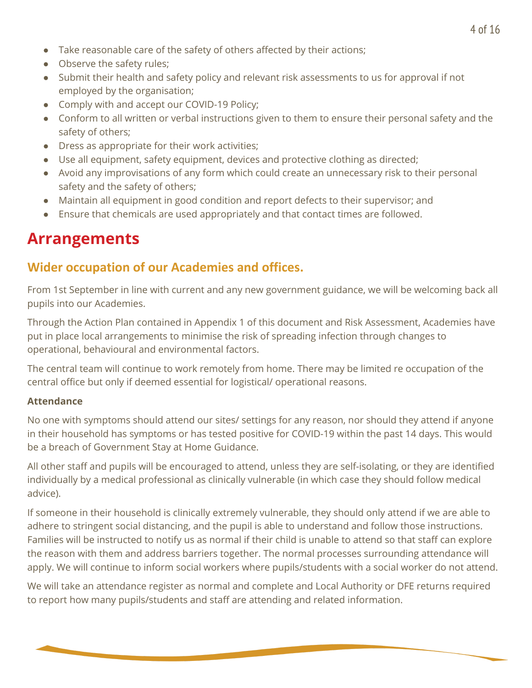- Take reasonable care of the safety of others affected by their actions;
- Observe the safety rules:
- Submit their health and safety policy and relevant risk assessments to us for approval if not employed by the organisation;
- Comply with and accept our COVID-19 Policy;
- Conform to all written or verbal instructions given to them to ensure their personal safety and the safety of others;
- Dress as appropriate for their work activities;
- Use all equipment, safety equipment, devices and protective clothing as directed;
- Avoid any improvisations of any form which could create an unnecessary risk to their personal safety and the safety of others;
- Maintain all equipment in good condition and report defects to their supervisor; and
- Ensure that chemicals are used appropriately and that contact times are followed.

## **Arrangements**

### **Wider occupation of our Academies and offices.**

From 1st September in line with current and any new government guidance, we will be welcoming back all pupils into our Academies.

Through the Action Plan contained in Appendix 1 of this document and Risk Assessment, Academies have put in place local arrangements to minimise the risk of spreading infection through changes to operational, behavioural and environmental factors.

The central team will continue to work remotely from home. There may be limited re occupation of the central office but only if deemed essential for logistical/ operational reasons.

#### **Attendance**

No one with symptoms should attend our sites/ settings for any reason, nor should they attend if anyone in their household has symptoms or has tested positive for COVID-19 within the past 14 days. This would be a breach of Government Stay at Home Guidance.

All other staff and pupils will be encouraged to attend, unless they are self-isolating, or they are identified individually by a medical professional as clinically vulnerable (in which case they should follow medical advice).

If someone in their household is clinically extremely vulnerable, they should only attend if we are able to adhere to stringent social distancing, and the pupil is able to understand and follow those instructions. Families will be instructed to notify us as normal if their child is unable to attend so that staff can explore the reason with them and address barriers together. The normal processes surrounding attendance will apply. We will continue to inform social workers where pupils/students with a social worker do not attend.

We will take an attendance register as normal and complete and Local Authority or DFE returns required to report how many pupils/students and staff are attending and related information.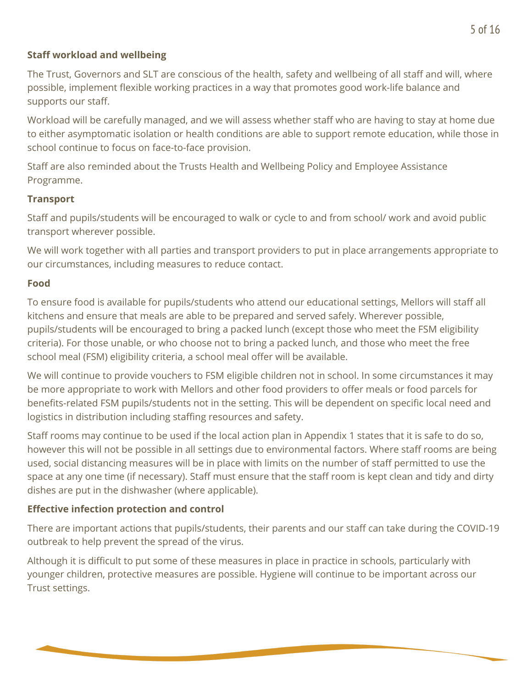#### **Staff workload and wellbeing**

The Trust, Governors and SLT are conscious of the health, safety and wellbeing of all staff and will, where possible, implement flexible working practices in a way that promotes good work-life balance and supports our staff.

Workload will be carefully managed, and we will assess whether staff who are having to stay at home due to either asymptomatic isolation or health conditions are able to support remote education, while those in school continue to focus on face-to-face provision.

Staff are also reminded about the Trusts Health and Wellbeing Policy and Employee Assistance Programme.

#### **Transport**

Staff and pupils/students will be encouraged to walk or cycle to and from school/ work and avoid public transport wherever possible.

We will work together with all parties and transport providers to put in place arrangements appropriate to our circumstances, including measures to reduce contact.

#### **Food**

To ensure food is available for pupils/students who attend our educational settings, Mellors will staff all kitchens and ensure that meals are able to be prepared and served safely. Wherever possible, pupils/students will be encouraged to bring a packed lunch (except those who meet the FSM eligibility criteria). For those unable, or who choose not to bring a packed lunch, and those who meet the free school meal (FSM) eligibility criteria, a school meal offer will be available.

We will continue to provide vouchers to FSM eligible children not in school. In some circumstances it may be more appropriate to work with Mellors and other food providers to offer meals or food parcels for benefits-related FSM pupils/students not in the setting. This will be dependent on specific local need and logistics in distribution including staffing resources and safety.

Staff rooms may continue to be used if the local action plan in Appendix 1 states that it is safe to do so, however this will not be possible in all settings due to environmental factors. Where staff rooms are being used, social distancing measures will be in place with limits on the number of staff permitted to use the space at any one time (if necessary). Staff must ensure that the staff room is kept clean and tidy and dirty dishes are put in the dishwasher (where applicable).

#### **Effective infection protection and control**

There are important actions that pupils/students, their parents and our staff can take during the COVID-19 outbreak to help prevent the spread of the virus.

Although it is difficult to put some of these measures in place in practice in schools, particularly with younger children, protective measures are possible. Hygiene will continue to be important across our Trust settings.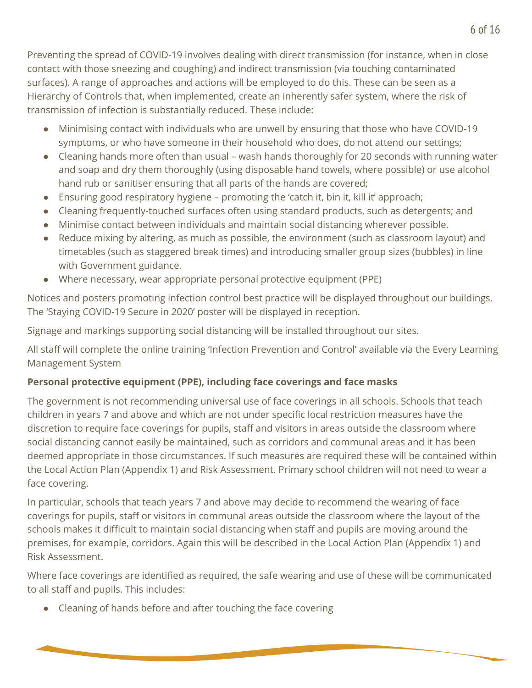Preventing the spread of COVID-19 involves dealing with direct transmission (for instance, when in close contact with those sneezing and coughing) and indirect transmission (via touching contaminated surfaces). A range of approaches and actions will be employed to do this. These can be seen as a Hierarchy of Controls that, when implemented, create an inherently safer system, where the risk of transmission of infection is substantially reduced. These include:

- Minimising contact with individuals who are unwell by ensuring that those who have COVID-19 symptoms, or who have someone in their household who does, do not attend our settings;
- Cleaning hands more often than usual wash hands thoroughly for 20 seconds with running water and soap and dry them thoroughly (using disposable hand towels, where possible) or use alcohol hand rub or sanitiser ensuring that all parts of the hands are covered;
- $\bullet$  Ensuring good respiratory hygiene promoting the 'catch it, bin it, kill it' approach;
- Cleaning frequently-touched surfaces often using standard products, such as detergents; and
- Minimise contact between individuals and maintain social distancing wherever possible.
- Reduce mixing by altering, as much as possible, the environment (such as classroom layout) and timetables (such as staggered break times) and introducing smaller group sizes (bubbles) in line with Government guidance.
- Where necessary, wear appropriate personal protective equipment (PPE)

Notices and posters promoting infection control best practice will be displayed throughout our buildings. The 'Staying COVID-19 Secure in 2020' poster will be displayed in reception.

Signage and markings supporting social distancing will be installed throughout our sites.

All staff will complete the online training 'Infection Prevention and Control' available via the Every Learning Management System

#### **Personal protective equipment (PPE), including face coverings and face masks**

The government is not recommending universal use of face coverings in all schools. Schools that teach children in years 7 and above and which are not under specific local restriction measures have the discretion to require face coverings for pupils, staff and visitors in areas outside the classroom where social distancing cannot easily be maintained, such as corridors and communal areas and it has been deemed appropriate in those circumstances. If such measures are required these will be contained within the Local Action Plan (Appendix 1) and Risk Assessment. Primary school children will not need to wear a face covering.

In particular, schools that teach years 7 and above may decide to recommend the wearing of face coverings for pupils, staff or visitors in communal areas outside the classroom where the layout of the schools makes it difficult to maintain social distancing when staff and pupils are moving around the premises, for example, corridors. Again this will be described in the Local Action Plan (Appendix 1) and Risk Assessment.

Where face coverings are identified as required, the safe wearing and use of these will be communicated to all staff and pupils. This includes:

● Cleaning of hands before and after touching the face covering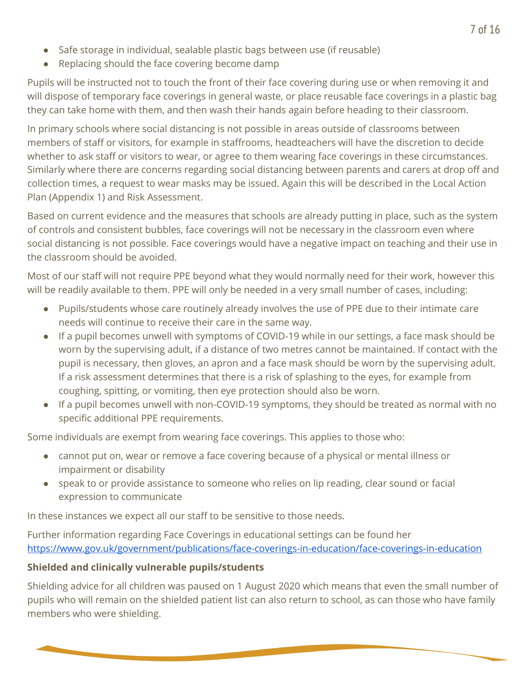- Safe storage in individual, sealable plastic bags between use (if reusable)
- Replacing should the face covering become damp

Pupils will be instructed not to touch the front of their face covering during use or when removing it and will dispose of temporary face coverings in general waste, or place reusable face coverings in a plastic bag they can take home with them, and then wash their hands again before heading to their classroom.

In primary schools where social distancing is not possible in areas outside of classrooms between members of staff or visitors, for example in staffrooms, headteachers will have the discretion to decide whether to ask staff or visitors to wear, or agree to them wearing face coverings in these circumstances. Similarly where there are concerns regarding social distancing between parents and carers at drop off and collection times, a request to wear masks may be issued. Again this will be described in the Local Action Plan (Appendix 1) and Risk Assessment.

Based on current evidence and the measures that schools are already putting in place, such as the system of controls and consistent bubbles, face coverings will not be necessary in the classroom even where social distancing is not possible. Face coverings would have a negative impact on teaching and their use in the classroom should be avoided.

Most of our staff will not require PPE beyond what they would normally need for their work, however this will be readily available to them. PPE will only be needed in a very small number of cases, including:

- Pupils/students whose care routinely already involves the use of PPE due to their intimate care needs will continue to receive their care in the same way.
- If a pupil becomes unwell with symptoms of COVID-19 while in our settings, a face mask should be worn by the supervising adult, if a distance of two metres cannot be maintained. If contact with the pupil is necessary, then gloves, an apron and a face mask should be worn by the supervising adult. If a risk assessment determines that there is a risk of splashing to the eyes, for example from coughing, spitting, or vomiting, then eye protection should also be worn.
- If a pupil becomes unwell with non-COVID-19 symptoms, they should be treated as normal with no specific additional PPE requirements.

Some individuals are exempt from wearing face coverings. This applies to those who:

- cannot put on, wear or remove a face covering because of a physical or mental illness or impairment or disability
- speak to or provide assistance to someone who relies on lip reading, clear sound or facial expression to communicate

In these instances we expect all our staff to be sensitive to those needs.

Further information regarding Face Coverings in educational settings can be found her <https://www.gov.uk/government/publications/face-coverings-in-education/face-coverings-in-education>

#### **Shielded and clinically vulnerable pupils/students**

Shielding advice for all children was paused on 1 August 2020 which means that even the small number of pupils who will remain on the shielded patient list can also return to school, as can those who have family members who were shielding.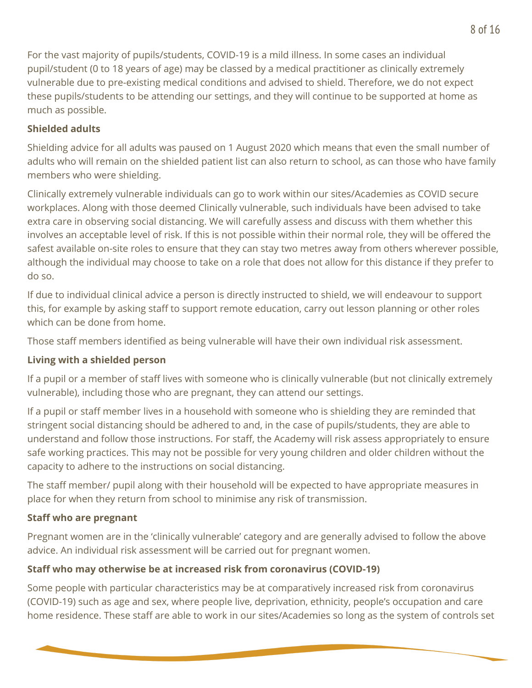For the vast majority of pupils/students, COVID-19 is a mild illness. In some cases an individual pupil/student (0 to 18 years of age) may be classed by a medical practitioner as clinically extremely vulnerable due to pre-existing medical conditions and advised to shield. Therefore, we do not expect these pupils/students to be attending our settings, and they will continue to be supported at home as much as possible.

#### **Shielded adults**

Shielding advice for all adults was paused on 1 August 2020 which means that even the small number of adults who will remain on the shielded patient list can also return to school, as can those who have family members who were shielding.

Clinically extremely vulnerable individuals can go to work within our sites/Academies as COVID secure workplaces. Along with those deemed Clinically vulnerable, such individuals have been advised to take extra care in observing social distancing. We will carefully assess and discuss with them whether this involves an acceptable level of risk. If this is not possible within their normal role, they will be offered the safest available on-site roles to ensure that they can stay two metres away from others wherever possible, although the individual may choose to take on a role that does not allow for this distance if they prefer to do so.

If due to individual clinical advice a person is directly instructed to shield, we will endeavour to support this, for example by asking staff to support remote education, carry out lesson planning or other roles which can be done from home.

Those staff members identified as being vulnerable will have their own individual risk assessment.

#### **Living with a shielded person**

If a pupil or a member of staff lives with someone who is clinically vulnerable (but not clinically extremely vulnerable), including those who are pregnant, they can attend our settings.

If a pupil or staff member lives in a household with someone who is shielding they are reminded that stringent social distancing should be adhered to and, in the case of pupils/students, they are able to understand and follow those instructions. For staff, the Academy will risk assess appropriately to ensure safe working practices. This may not be possible for very young children and older children without the capacity to adhere to the instructions on social distancing.

The staff member/ pupil along with their household will be expected to have appropriate measures in place for when they return from school to minimise any risk of transmission.

#### **Staff who are pregnant**

Pregnant women are in the 'clinically vulnerable' category and are generally advised to follow the above advice. An individual risk assessment will be carried out for pregnant women.

#### **Staff who may otherwise be at increased risk from coronavirus (COVID-19)**

Some people with particular characteristics may be at comparatively increased risk from coronavirus (COVID-19) such as age and sex, where people live, deprivation, ethnicity, people's occupation and care home residence. These staff are able to work in our sites/Academies so long as the system of controls set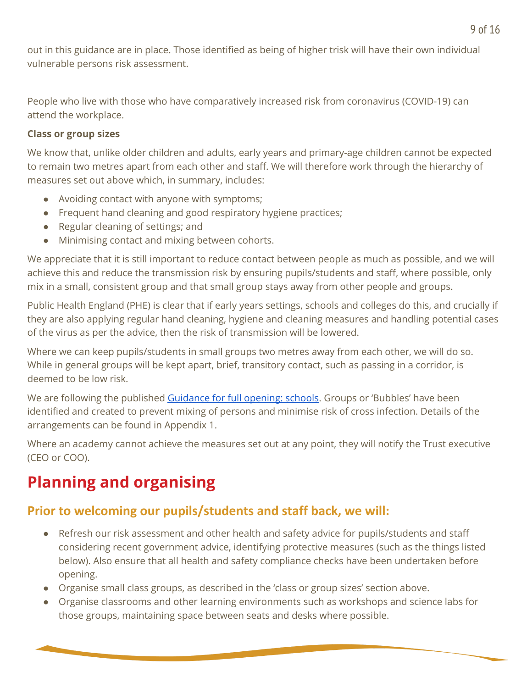out in this guidance are in place. Those identified as being of higher trisk will have their own individual vulnerable persons risk assessment.

People who live with those who have comparatively increased risk from coronavirus (COVID-19) can attend the workplace.

#### **Class or group sizes**

We know that, unlike older children and adults, early years and primary-age children cannot be expected to remain two metres apart from each other and staff. We will therefore work through the hierarchy of measures set out above which, in summary, includes:

- Avoiding contact with anyone with symptoms;
- Frequent hand cleaning and good respiratory hygiene practices;
- Regular cleaning of settings; and
- Minimising contact and mixing between cohorts.

We appreciate that it is still important to reduce contact between people as much as possible, and we will achieve this and reduce the transmission risk by ensuring pupils/students and staff, where possible, only mix in a small, consistent group and that small group stays away from other people and groups.

Public Health England (PHE) is clear that if early years settings, schools and colleges do this, and crucially if they are also applying regular hand cleaning, hygiene and cleaning measures and handling potential cases of the virus as per the advice, then the risk of transmission will be lowered.

Where we can keep pupils/students in small groups two metres away from each other, we will do so. While in general groups will be kept apart, brief, transitory contact, such as passing in a corridor, is deemed to be low risk.

We are following the published [Guidance](https://www.gov.uk/government/publications/actions-for-schools-during-the-coronavirus-outbreak/guidance-for-full-opening-schools) for full opening: schools. Groups or 'Bubbles' have been identified and created to prevent mixing of persons and minimise risk of cross infection. Details of the arrangements can be found in Appendix 1.

Where an academy cannot achieve the measures set out at any point, they will notify the Trust executive (CEO or COO).

## **Planning and organising**

## **Prior to welcoming our pupils/students and staff back, we will:**

- Refresh our risk assessment and other health and safety advice for pupils/students and staff considering recent government advice, identifying protective measures (such as the things listed below). Also ensure that all health and safety compliance checks have been undertaken before opening.
- Organise small class groups, as described in the 'class or group sizes' section above.
- Organise classrooms and other learning environments such as workshops and science labs for those groups, maintaining space between seats and desks where possible.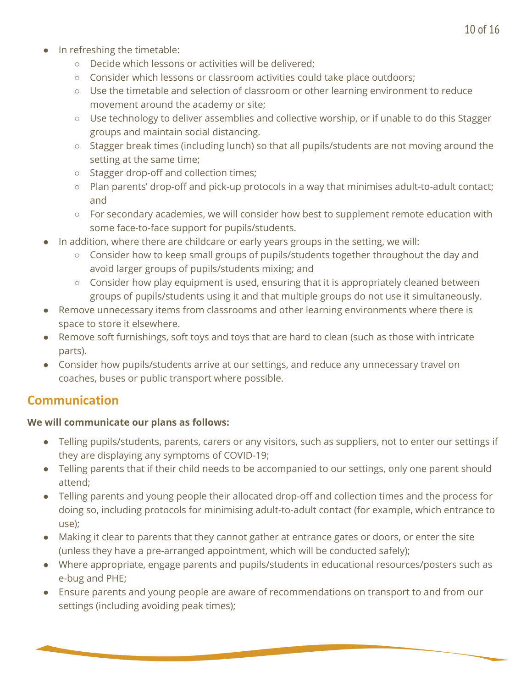- In refreshing the timetable:
	- Decide which lessons or activities will be delivered;
	- Consider which lessons or classroom activities could take place outdoors;
	- Use the timetable and selection of classroom or other learning environment to reduce movement around the academy or site;
	- Use technology to deliver assemblies and collective worship, or if unable to do this Stagger groups and maintain social distancing.
	- Stagger break times (including lunch) so that all pupils/students are not moving around the setting at the same time;
	- Stagger drop-off and collection times;
	- Plan parents' drop-off and pick-up protocols in a way that minimises adult-to-adult contact; and
	- For secondary academies, we will consider how best to supplement remote education with some face-to-face support for pupils/students.
- In addition, where there are childcare or early years groups in the setting, we will:
	- Consider how to keep small groups of pupils/students together throughout the day and avoid larger groups of pupils/students mixing; and
	- $\circ$  Consider how play equipment is used, ensuring that it is appropriately cleaned between groups of pupils/students using it and that multiple groups do not use it simultaneously.
- Remove unnecessary items from classrooms and other learning environments where there is space to store it elsewhere.
- Remove soft furnishings, soft toys and toys that are hard to clean (such as those with intricate parts).
- Consider how pupils/students arrive at our settings, and reduce any unnecessary travel on coaches, buses or public transport where possible.

### **Communication**

#### **We will communicate our plans as follows:**

- Telling pupils/students, parents, carers or any visitors, such as suppliers, not to enter our settings if they are displaying any symptoms of COVID-19;
- Telling parents that if their child needs to be accompanied to our settings, only one parent should attend;
- Telling parents and young people their allocated drop-off and collection times and the process for doing so, including protocols for minimising adult-to-adult contact (for example, which entrance to use);
- Making it clear to parents that they cannot gather at entrance gates or doors, or enter the site (unless they have a pre-arranged appointment, which will be conducted safely);
- Where appropriate, engage parents and pupils/students in educational resources/posters such as e-bug and PHE;
- Ensure parents and young people are aware of recommendations on transport to and from our settings (including avoiding peak times);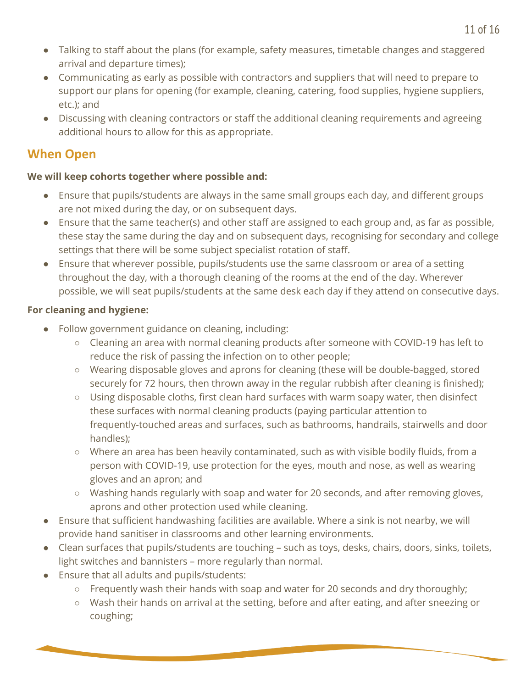- Talking to staff about the plans (for example, safety measures, timetable changes and staggered arrival and departure times);
- Communicating as early as possible with contractors and suppliers that will need to prepare to support our plans for opening (for example, cleaning, catering, food supplies, hygiene suppliers, etc.); and
- Discussing with cleaning contractors or staff the additional cleaning requirements and agreeing additional hours to allow for this as appropriate.

### **When Open**

#### **We will keep cohorts together where possible and:**

- Ensure that pupils/students are always in the same small groups each day, and different groups are not mixed during the day, or on subsequent days.
- Ensure that the same teacher(s) and other staff are assigned to each group and, as far as possible, these stay the same during the day and on subsequent days, recognising for secondary and college settings that there will be some subject specialist rotation of staff.
- Ensure that wherever possible, pupils/students use the same classroom or area of a setting throughout the day, with a thorough cleaning of the rooms at the end of the day. Wherever possible, we will seat pupils/students at the same desk each day if they attend on consecutive days.

#### **For cleaning and hygiene:**

- Follow government guidance on cleaning, including:
	- Cleaning an area with normal cleaning products after someone with COVID-19 has left to reduce the risk of passing the infection on to other people;
	- Wearing disposable gloves and aprons for cleaning (these will be double-bagged, stored securely for 72 hours, then thrown away in the regular rubbish after cleaning is finished);
	- $\circ$  Using disposable cloths, first clean hard surfaces with warm soapy water, then disinfect these surfaces with normal cleaning products (paying particular attention to frequently-touched areas and surfaces, such as bathrooms, handrails, stairwells and door handles);
	- Where an area has been heavily contaminated, such as with visible bodily fluids, from a person with COVID-19, use protection for the eyes, mouth and nose, as well as wearing gloves and an apron; and
	- Washing hands regularly with soap and water for 20 seconds, and after removing gloves, aprons and other protection used while cleaning.
- Ensure that sufficient handwashing facilities are available. Where a sink is not nearby, we will provide hand sanitiser in classrooms and other learning environments.
- Clean surfaces that pupils/students are touching such as toys, desks, chairs, doors, sinks, toilets, light switches and bannisters – more regularly than normal.
- Ensure that all adults and pupils/students:
	- $\circ$  Frequently wash their hands with soap and water for 20 seconds and dry thoroughly;
	- Wash their hands on arrival at the setting, before and after eating, and after sneezing or coughing;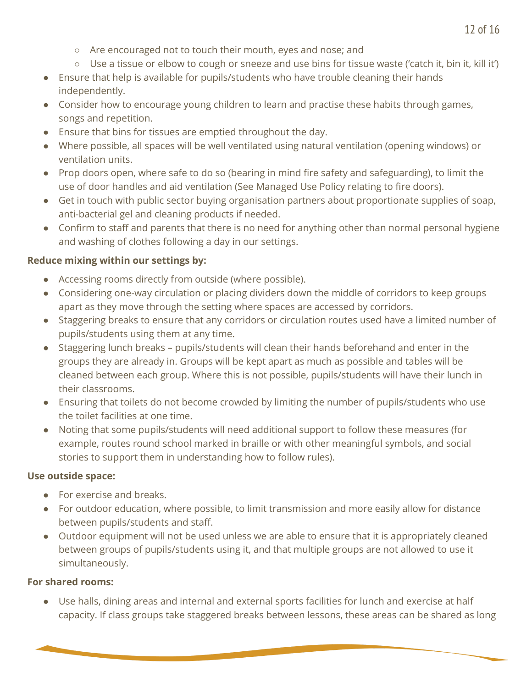- Are encouraged not to touch their mouth, eyes and nose; and
- $\circ$  Use a tissue or elbow to cough or sneeze and use bins for tissue waste ('catch it, bin it, kill it')
- Ensure that help is available for pupils/students who have trouble cleaning their hands independently.
- Consider how to encourage young children to learn and practise these habits through games, songs and repetition.
- Ensure that bins for tissues are emptied throughout the day.
- Where possible, all spaces will be well ventilated using natural ventilation (opening windows) or ventilation units.
- Prop doors open, where safe to do so (bearing in mind fire safety and safeguarding), to limit the use of door handles and aid ventilation (See Managed Use Policy relating to fire doors).
- Get in touch with public sector buying organisation partners about proportionate supplies of soap, anti-bacterial gel and cleaning products if needed.
- Confirm to staff and parents that there is no need for anything other than normal personal hygiene and washing of clothes following a day in our settings.

#### **Reduce mixing within our settings by:**

- Accessing rooms directly from outside (where possible).
- Considering one-way circulation or placing dividers down the middle of corridors to keep groups apart as they move through the setting where spaces are accessed by corridors.
- Staggering breaks to ensure that any corridors or circulation routes used have a limited number of pupils/students using them at any time.
- Staggering lunch breaks pupils/students will clean their hands beforehand and enter in the groups they are already in. Groups will be kept apart as much as possible and tables will be cleaned between each group. Where this is not possible, pupils/students will have their lunch in their classrooms.
- Ensuring that toilets do not become crowded by limiting the number of pupils/students who use the toilet facilities at one time.
- Noting that some pupils/students will need additional support to follow these measures (for example, routes round school marked in braille or with other meaningful symbols, and social stories to support them in understanding how to follow rules).

#### **Use outside space:**

- For exercise and breaks.
- For outdoor education, where possible, to limit transmission and more easily allow for distance between pupils/students and staff.
- Outdoor equipment will not be used unless we are able to ensure that it is appropriately cleaned between groups of pupils/students using it, and that multiple groups are not allowed to use it simultaneously.

#### **For shared rooms:**

● Use halls, dining areas and internal and external sports facilities for lunch and exercise at half capacity. If class groups take staggered breaks between lessons, these areas can be shared as long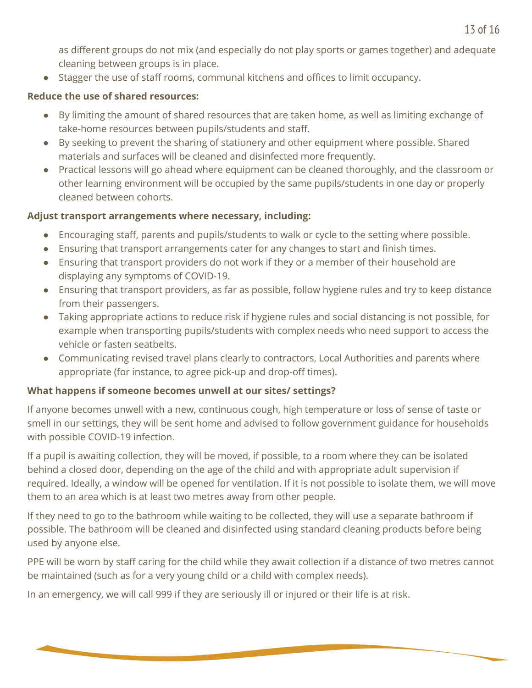as different groups do not mix (and especially do not play sports or games together) and adequate cleaning between groups is in place.

● Stagger the use of staff rooms, communal kitchens and offices to limit occupancy.

#### **Reduce the use of shared resources:**

- By limiting the amount of shared resources that are taken home, as well as limiting exchange of take-home resources between pupils/students and staff.
- By seeking to prevent the sharing of stationery and other equipment where possible. Shared materials and surfaces will be cleaned and disinfected more frequently.
- Practical lessons will go ahead where equipment can be cleaned thoroughly, and the classroom or other learning environment will be occupied by the same pupils/students in one day or properly cleaned between cohorts.

#### **Adjust transport arrangements where necessary, including:**

- Encouraging staff, parents and pupils/students to walk or cycle to the setting where possible.
- Ensuring that transport arrangements cater for any changes to start and finish times.
- Ensuring that transport providers do not work if they or a member of their household are displaying any symptoms of COVID-19.
- Ensuring that transport providers, as far as possible, follow hygiene rules and try to keep distance from their passengers.
- Taking appropriate actions to reduce risk if hygiene rules and social distancing is not possible, for example when transporting pupils/students with complex needs who need support to access the vehicle or fasten seatbelts.
- Communicating revised travel plans clearly to contractors, Local Authorities and parents where appropriate (for instance, to agree pick-up and drop-off times).

#### **What happens if someone becomes unwell at our sites/ settings?**

If anyone becomes unwell with a new, continuous cough, high temperature or loss of sense of taste or smell in our settings, they will be sent home and advised to follow government guidance for households with possible COVID-19 infection.

If a pupil is awaiting collection, they will be moved, if possible, to a room where they can be isolated behind a closed door, depending on the age of the child and with appropriate adult supervision if required. Ideally, a window will be opened for ventilation. If it is not possible to isolate them, we will move them to an area which is at least two metres away from other people.

If they need to go to the bathroom while waiting to be collected, they will use a separate bathroom if possible. The bathroom will be cleaned and disinfected using standard cleaning products before being used by anyone else.

PPE will be worn by staff caring for the child while they await collection if a distance of two metres cannot be maintained (such as for a very young child or a child with complex needs).

In an emergency, we will call 999 if they are seriously ill or injured or their life is at risk.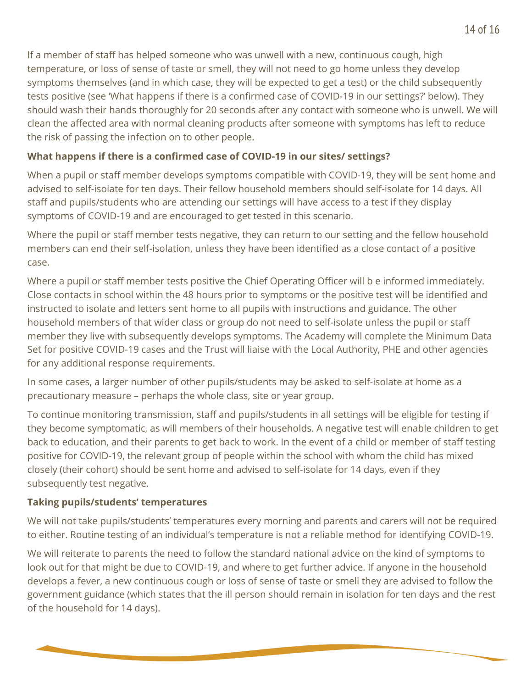If a member of staff has helped someone who was unwell with a new, continuous cough, high temperature, or loss of sense of taste or smell, they will not need to go home unless they develop symptoms themselves (and in which case, they will be expected to get a test) or the child subsequently tests positive (see 'What happens if there is a confirmed case of COVID-19 in our settings?' below). They should wash their hands thoroughly for 20 seconds after any contact with someone who is unwell. We will clean the affected area with normal cleaning products after someone with symptoms has left to reduce the risk of passing the infection on to other people.

#### **What happens if there is a confirmed case of COVID-19 in our sites/ settings?**

When a pupil or staff member develops symptoms compatible with COVID-19, they will be sent home and advised to self-isolate for ten days. Their fellow household members should self-isolate for 14 days. All staff and pupils/students who are attending our settings will have access to a test if they display symptoms of COVID-19 and are encouraged to get tested in this scenario.

Where the pupil or staff member tests negative, they can return to our setting and the fellow household members can end their self-isolation, unless they have been identified as a close contact of a positive case.

Where a pupil or staff member tests positive the Chief Operating Officer will b e informed immediately. Close contacts in school within the 48 hours prior to symptoms or the positive test will be identified and instructed to isolate and letters sent home to all pupils with instructions and guidance. The other household members of that wider class or group do not need to self-isolate unless the pupil or staff member they live with subsequently develops symptoms. The Academy will complete the Minimum Data Set for positive COVID-19 cases and the Trust will liaise with the Local Authority, PHE and other agencies for any additional response requirements.

In some cases, a larger number of other pupils/students may be asked to self-isolate at home as a precautionary measure – perhaps the whole class, site or year group.

To continue monitoring transmission, staff and pupils/students in all settings will be eligible for testing if they become symptomatic, as will members of their households. A negative test will enable children to get back to education, and their parents to get back to work. In the event of a child or member of staff testing positive for COVID-19, the relevant group of people within the school with whom the child has mixed closely (their cohort) should be sent home and advised to self-isolate for 14 days, even if they subsequently test negative.

#### **Taking pupils/students' temperatures**

We will not take pupils/students' temperatures every morning and parents and carers will not be required to either. Routine testing of an individual's temperature is not a reliable method for identifying COVID-19.

We will reiterate to parents the need to follow the standard national advice on the kind of symptoms to look out for that might be due to COVID-19, and where to get further advice. If anyone in the household develops a fever, a new continuous cough or loss of sense of taste or smell they are advised to follow the government guidance (which states that the ill person should remain in isolation for ten days and the rest of the household for 14 days).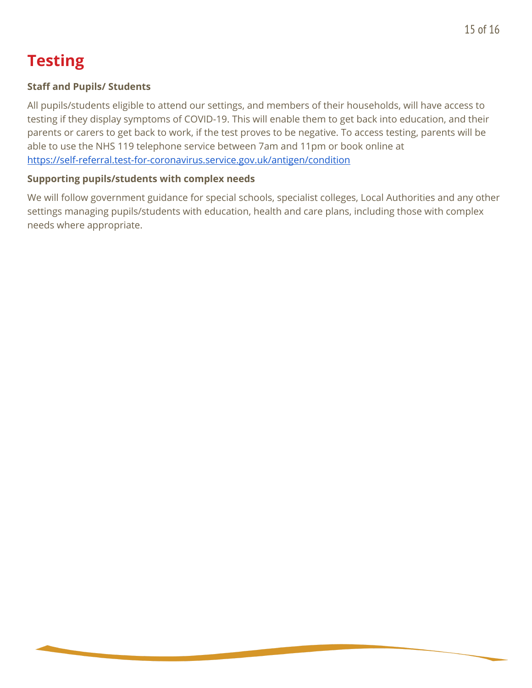## **Testing**

#### **Staff and Pupils/ Students**

All pupils/students eligible to attend our settings, and members of their households, will have access to testing if they display symptoms of COVID-19. This will enable them to get back into education, and their parents or carers to get back to work, if the test proves to be negative. To access testing, parents will be able to use the NHS 119 telephone service between 7am and 11pm or book online at <https://self-referral.test-for-coronavirus.service.gov.uk/antigen/condition>

#### **Supporting pupils/students with complex needs**

We will follow government guidance for special schools, specialist colleges, Local Authorities and any other settings managing pupils/students with education, health and care plans, including those with complex needs where appropriate.